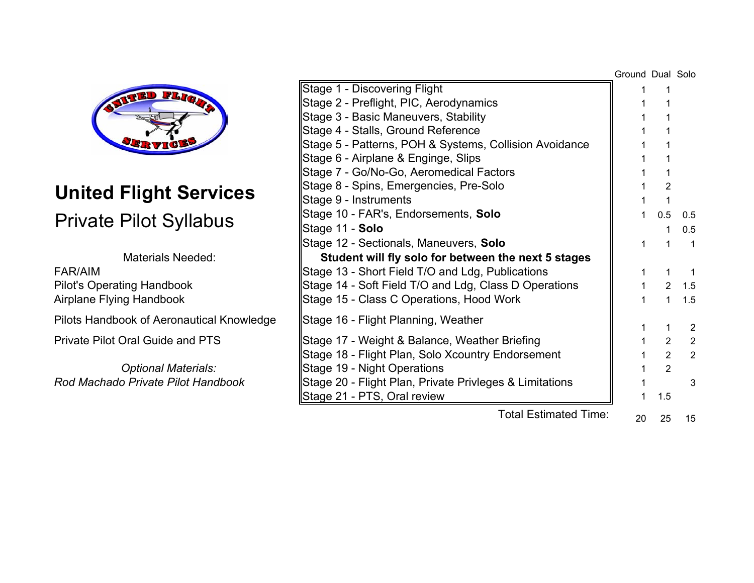

# **United Flight Services**

|                                           |                                                         | Ground Dual Solo |                       |                |
|-------------------------------------------|---------------------------------------------------------|------------------|-----------------------|----------------|
| <b>FLIQ</b>                               | Stage 1 - Discovering Flight                            |                  |                       |                |
|                                           | Stage 2 - Preflight, PIC, Aerodynamics                  |                  |                       |                |
|                                           | Stage 3 - Basic Maneuvers, Stability                    |                  |                       |                |
|                                           | Stage 4 - Stalls, Ground Reference                      |                  |                       |                |
| <sup>SER</sup> TI                         | Stage 5 - Patterns, POH & Systems, Collision Avoidance  |                  |                       |                |
|                                           | Stage 6 - Airplane & Enginge, Slips                     |                  |                       |                |
|                                           | Stage 7 - Go/No-Go, Aeromedical Factors                 |                  |                       |                |
| <b>United Flight Services</b>             | Stage 8 - Spins, Emergencies, Pre-Solo                  |                  |                       |                |
|                                           | Stage 9 - Instruments                                   |                  |                       |                |
|                                           | Stage 10 - FAR's, Endorsements, Solo                    |                  | 0.5                   | 0.5            |
| <b>Private Pilot Syllabus</b>             | Stage 11 - Solo                                         |                  |                       | 0.5            |
|                                           | Stage 12 - Sectionals, Maneuvers, Solo                  |                  |                       | - 1            |
| <b>Materials Needed:</b>                  | Student will fly solo for between the next 5 stages     |                  |                       |                |
| FAR/AIM                                   | Stage 13 - Short Field T/O and Ldg, Publications        |                  |                       | -1             |
| <b>Pilot's Operating Handbook</b>         | Stage 14 - Soft Field T/O and Ldg, Class D Operations   |                  |                       | 1.5            |
| Airplane Flying Handbook                  | Stage 15 - Class C Operations, Hood Work                |                  |                       | 1.5            |
| Pilots Handbook of Aeronautical Knowledge | Stage 16 - Flight Planning, Weather                     |                  |                       |                |
|                                           |                                                         |                  |                       | $\overline{2}$ |
| <b>Private Pilot Oral Guide and PTS</b>   | Stage 17 - Weight & Balance, Weather Briefing           |                  | $\mathbf{2}^{\prime}$ | $\overline{2}$ |
|                                           | Stage 18 - Flight Plan, Solo Xcountry Endorsement       |                  | $\overline{2}$        | $\overline{2}$ |
| <b>Optional Materials:</b>                | Stage 19 - Night Operations                             |                  |                       |                |
| Rod Machado Private Pilot Handbook        | Stage 20 - Flight Plan, Private Privleges & Limitations |                  |                       | 3              |
|                                           | Stage 21 - PTS, Oral review                             |                  | 1.5                   |                |
|                                           | <b>Total Estimated Time:</b>                            | 20               | 25                    | 15             |
|                                           |                                                         |                  |                       |                |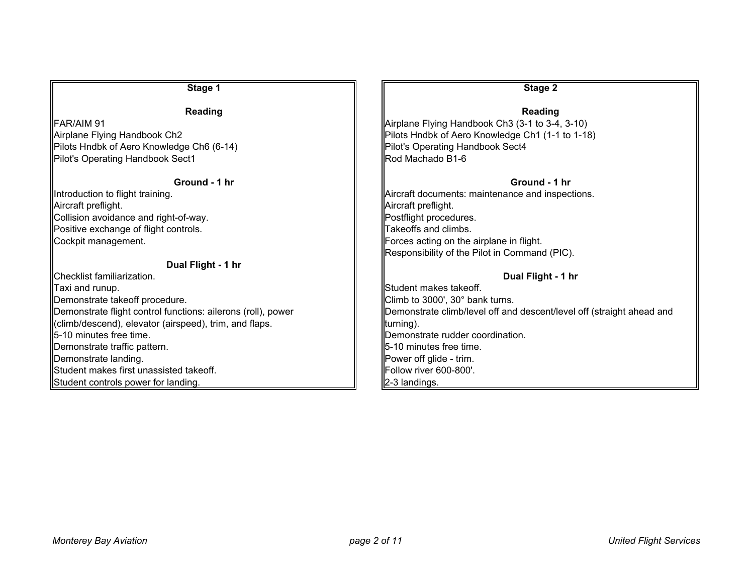| Stage 1                                                      | Stage 2                                                               |
|--------------------------------------------------------------|-----------------------------------------------------------------------|
| <b>Reading</b>                                               | Reading                                                               |
| <b>FAR/AIM 91</b>                                            | Airplane Flying Handbook Ch3 (3-1 to 3-4, 3-10)                       |
| Airplane Flying Handbook Ch2                                 | Pilots Hndbk of Aero Knowledge Ch1 (1-1 to 1-18)                      |
| Pilots Hndbk of Aero Knowledge Ch6 (6-14)                    | Pilot's Operating Handbook Sect4                                      |
| Pilot's Operating Handbook Sect1                             | Rod Machado B1-6                                                      |
| Ground - 1 hr                                                | Ground - 1 hr                                                         |
| Introduction to flight training.                             | Aircraft documents: maintenance and inspections.                      |
| Aircraft preflight.                                          | Aircraft preflight.                                                   |
| Collision avoidance and right-of-way.                        | Postflight procedures.                                                |
| Positive exchange of flight controls.                        | Takeoffs and climbs.                                                  |
| Cockpit management.                                          | Forces acting on the airplane in flight.                              |
|                                                              | Responsibility of the Pilot in Command (PIC).                         |
| Dual Flight - 1 hr                                           |                                                                       |
| Checklist familiarization.                                   | Dual Flight - 1 hr                                                    |
| Taxi and runup.                                              | Student makes takeoff.                                                |
| Demonstrate takeoff procedure.                               | Climb to 3000', 30° bank turns.                                       |
| Demonstrate flight control functions: ailerons (roll), power | Demonstrate climb/level off and descent/level off (straight ahead and |
| (climb/descend), elevator (airspeed), trim, and flaps.       | turning).                                                             |
| <b>II</b> 5-10 minutes free time.                            | Demonstrate rudder coordination.                                      |
| Demonstrate traffic pattern.                                 | 5-10 minutes free time.                                               |
| Demonstrate landing.                                         | Power off glide - trim.                                               |
| Student makes first unassisted takeoff.                      | Follow river 600-800'.                                                |
| Student controls power for landing.                          | 2-3 landings.                                                         |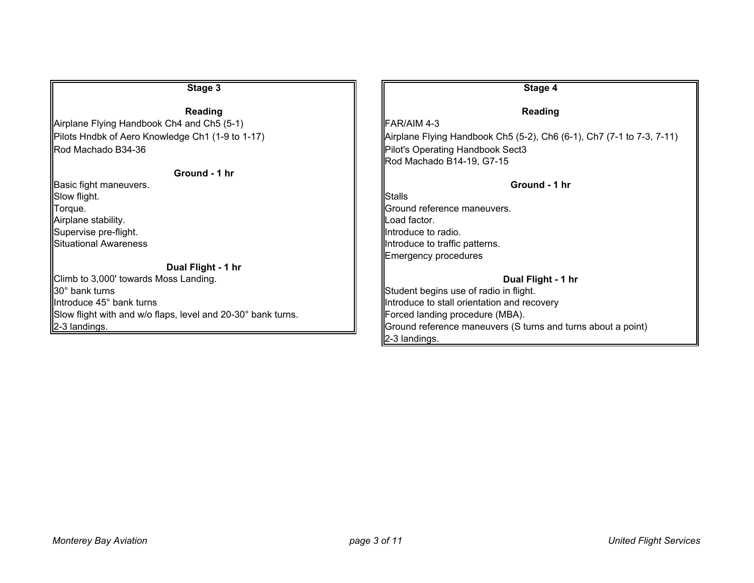| Stage 3                                                      | Stage 4                                                               |
|--------------------------------------------------------------|-----------------------------------------------------------------------|
| Reading                                                      | <b>Reading</b>                                                        |
| Airplane Flying Handbook Ch4 and Ch5 (5-1)                   | FAR/AIM 4-3                                                           |
| Pilots Hndbk of Aero Knowledge Ch1 (1-9 to 1-17)             | Airplane Flying Handbook Ch5 (5-2), Ch6 (6-1), Ch7 (7-1 to 7-3, 7-11) |
| Rod Machado B34-36                                           | Pilot's Operating Handbook Sect3                                      |
|                                                              | Rod Machado B14-19, G7-15                                             |
| Ground - 1 hr                                                |                                                                       |
| <b>Basic fight maneuvers.</b>                                | Ground - 1 hr                                                         |
| Slow flight.                                                 | Stalls                                                                |
| Torque.                                                      | Ground reference maneuvers.                                           |
| Airplane stability.                                          | Load factor.                                                          |
| Supervise pre-flight.                                        | Introduce to radio.                                                   |
| Situational Awareness                                        | Introduce to traffic patterns.                                        |
|                                                              | Emergency procedures                                                  |
| Dual Flight - 1 hr                                           |                                                                       |
| Climb to 3,000' towards Moss Landing.                        | Dual Flight - 1 hr                                                    |
| 30° bank turns                                               | Student begins use of radio in flight.                                |
| Introduce 45° bank turns                                     | Introduce to stall orientation and recovery                           |
| Slow flight with and w/o flaps, level and 20-30° bank turns. | Forced landing procedure (MBA).                                       |
| 2-3 landings.                                                | Ground reference maneuvers (S turns and turns about a point)          |
|                                                              | 2-3 landings.                                                         |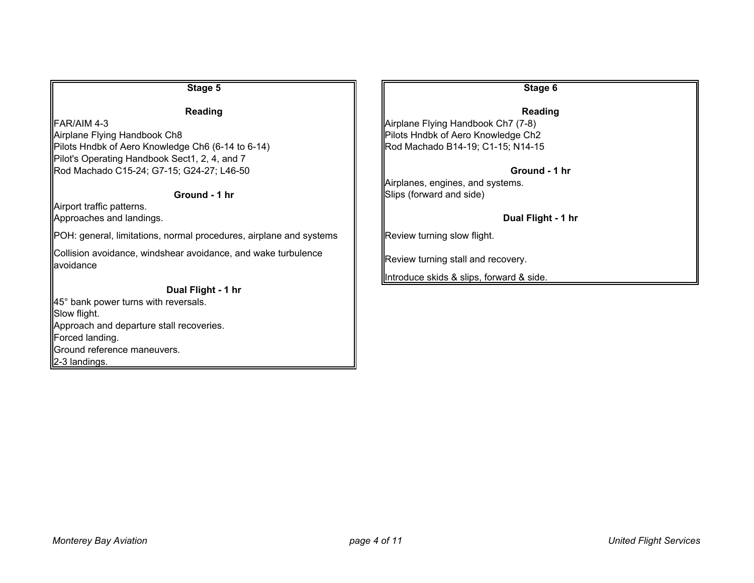#### **Stage 5 Stage 6 Reading** Reading Reading Reading Reading Reading Reading Reading Reading Reading Reading Reading Reading Reading Reading Reading Reading Reading Reading Reading Reading Reading Reading Reading Reading Reading Reading Reading Re **Reading**  $\parallel$  FAR/AIM 4-3  $\parallel$  Airplane Flying Handbook Ch7 (7-8) Airplane Flying Handbook Ch8 Pilots Hotel Pilots Hndbk of Aero Knowledge Ch2 Pilots Hndbk of Aero Knowledge Ch6 (6-14 to 6-14)  $\parallel$  Rod Machado B14-19; C1-15; N14-15 Pilot's Operating Handbook Sect1, 2, 4, and 7 Rod Machado C15-24; G7-15; G24-27; L46-50 **Ground - 1 hr** Airplanes, engines, and systems. **Ground - 1 hr**Slips (forward and side) Airport traffic patterns. Approaches and landings. **Dual Flight - 1 hr**  $\parallel$ POH: general, limitations, normal procedures, airplane and systems  $\parallel$  Review turning slow flight. Collision avoidance, windshear avoidance, and wake turbulence avoidance Review turning stall and recovery. Introduce skids & slips, forward & side. **Dual Flight - 1 hr** 45° bank power turns with reversals. Slow flight. Approach and departure stall recoveries. Forced landing. Ground reference maneuvers.

2-3 landings.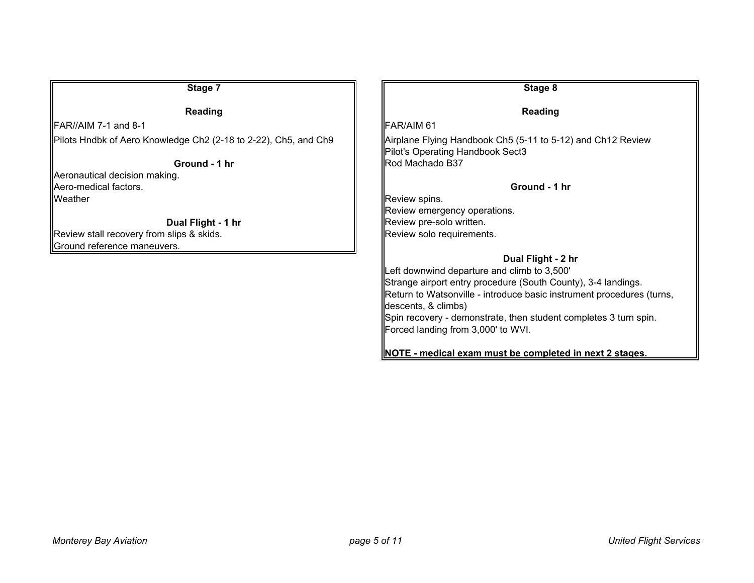| Stage 7                                                           | Stage 8                                                                                                                            |
|-------------------------------------------------------------------|------------------------------------------------------------------------------------------------------------------------------------|
| Reading                                                           | Reading                                                                                                                            |
| $IFAR//AIM 7-1 and 8-1$                                           | FAR/AIM 61                                                                                                                         |
| Pilots Hndbk of Aero Knowledge Ch2 (2-18 to 2-22), Ch5, and Ch9   | Airplane Flying Handbook Ch5 (5-11 to 5-12) and Ch12 Review<br>Pilot's Operating Handbook Sect3                                    |
| Ground - 1 hr                                                     | Rod Machado B37                                                                                                                    |
| Aeronautical decision making.<br>Aero-medical factors.<br>Weather | Ground - 1 hr                                                                                                                      |
|                                                                   | Review spins.<br>Review emergency operations.                                                                                      |
| Dual Flight - 1 hr                                                | Review pre-solo written.                                                                                                           |
| Review stall recovery from slips & skids.                         | Review solo requirements.                                                                                                          |
| Ground reference maneuvers.                                       |                                                                                                                                    |
|                                                                   | Dual Flight - 2 hr<br>Left downwind departure and climb to 3,500'<br>Strange airport entry procedure (South County), 3-4 landings. |
|                                                                   | Return to Watsonville - introduce basic instrument procedures (turns,<br>descents, & climbs)                                       |
|                                                                   | Spin recovery - demonstrate, then student completes 3 turn spin.<br>Forced landing from 3,000' to WVI.                             |
|                                                                   | NOTE - medical exam must be completed in next 2 stages.                                                                            |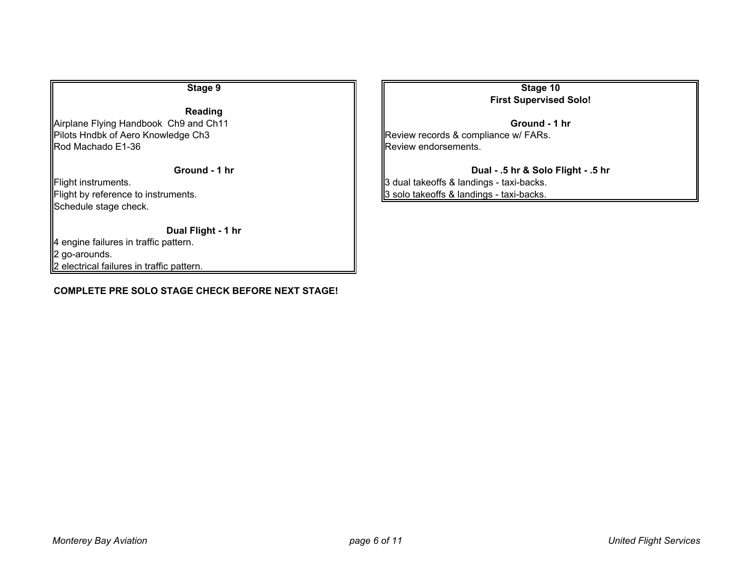**Reading** Airplane Flying Handbook Ch9 and Ch11 **Ground - 1 hr Ground - 1 hr Ground - 1 hr** Pilots Hndbk of Aero Knowledge Ch3 Review records & compliance w/ FARs.<br>Rod Machado E1-36 Review endorsements.

Schedule stage check.

#### **Dual Fli ght - 1 hr**

4 engine failures in traffic pattern. 2 go-arounds.

2 electrical failures in traffic pattern.

### **COMPLETE PRE SOLO STAGE CHECK BEFORE NEXT STAGE!**

**Stage 9 Stage 10 First Supervised Solo!**

Review endorsements.

**Ground - 1 hr Dual - .5 hr & Solo Fli ght - .5 hr** Flight instruments.  $\|\cdot\|$ 3 dual takeoffs & landings - taxi-backs. Flight by reference to instruments.  $\|\cdot\|$  3 solo takeoffs & landings - taxi-backs.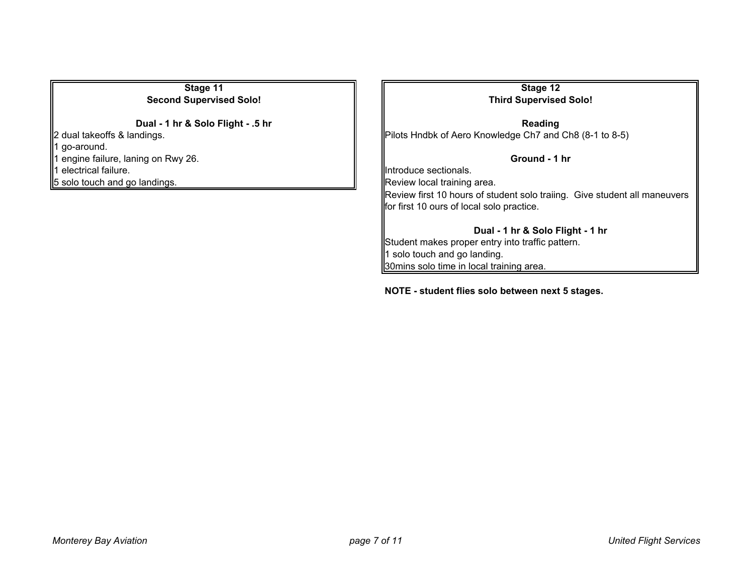**Stage 11 Stage 12 Second Supervised Solo! Third Supervised Solo!**

1 go-around. 1 engine failure, laning on Rwy 26. **Ground - 1 hr** 1 electrical failure. Interventional states of the section of the section of the section of the section of the section of the section of the section of the section of the section of the section of the section of the sectio

**Dual - 1 hr & Solo Fli ght - .5 hr Readin Reading** 2 dual takeoffs & landings. Philots Hndbk of Aero Knowledge Ch7 and Ch8 (8-1 to 8-5)

 $\parallel$  5 solo touch and go landings.  $\parallel$  Review local training area.

Review first 10 hours of student solo traiing. Give student all maneuvers for first 10 ours of local solo practice.

**Dual - 1 hr & Solo Fli ght - 1 hr** Student makes proper entry into traffic pattern. 1 solo touch and go landing. 30mins solo time in local training area.

**NOTE - student flies solo between next 5 sta ges.**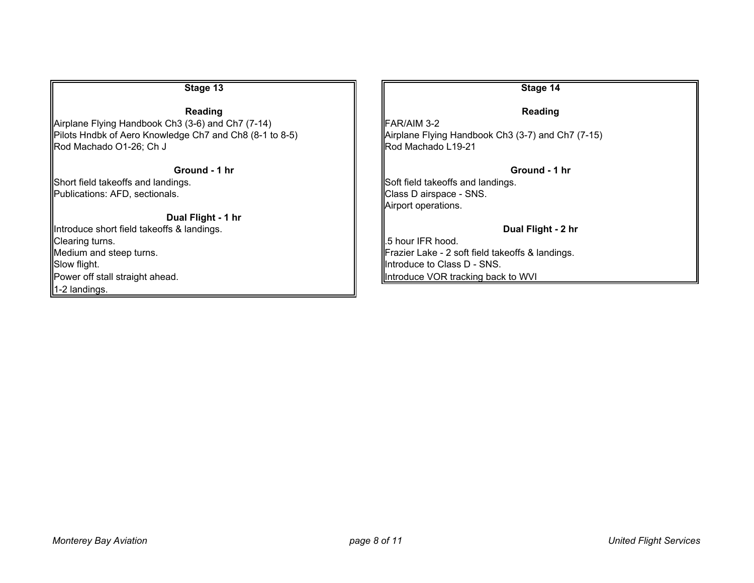| Stage 13                                                | Stage 14                                          |
|---------------------------------------------------------|---------------------------------------------------|
| Reading                                                 | <b>Reading</b>                                    |
| Airplane Flying Handbook Ch3 (3-6) and Ch7 (7-14)       | FAR/AIM 3-2                                       |
| Pilots Hndbk of Aero Knowledge Ch7 and Ch8 (8-1 to 8-5) | Airplane Flying Handbook Ch3 (3-7) and Ch7 (7-15) |
| Rod Machado O1-26; Ch J                                 | Rod Machado L19-21                                |
| Ground - 1 hr                                           | Ground - 1 hr                                     |
| Short field takeoffs and landings.                      | Soft field takeoffs and landings.                 |
| Publications: AFD, sectionals.                          | Class D airspace - SNS.                           |
|                                                         | Airport operations.                               |
| Dual Flight - 1 hr                                      |                                                   |
| Introduce short field takeoffs & landings.              | Dual Flight - 2 hr                                |
| Clearing turns.                                         | .5 hour IFR hood.                                 |
| Medium and steep turns.                                 | Frazier Lake - 2 soft field takeoffs & landings.  |
| Slow flight.                                            | Introduce to Class D - SNS.                       |
| Power off stall straight ahead.                         | Introduce VOR tracking back to WVI                |
| 1-2 landings.                                           |                                                   |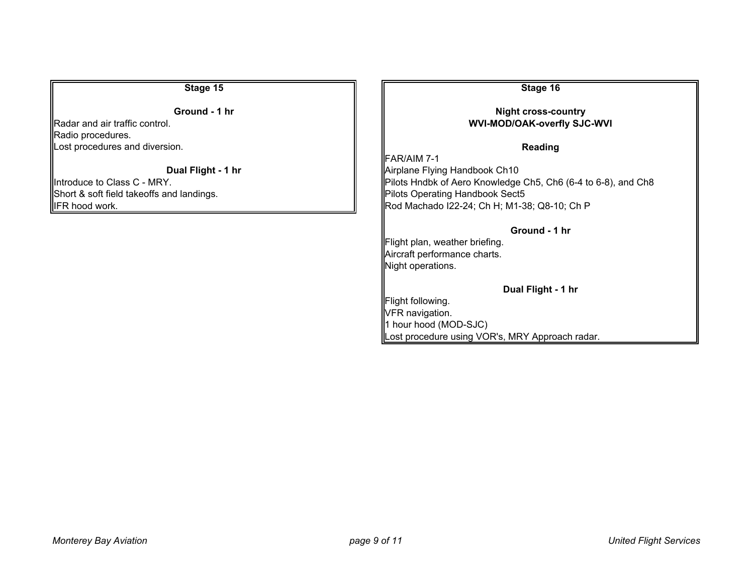**Ground - 1 hr** 

Radar and air traffic control. Radio procedures. Lost procedures and diversion.

**Dual Fli**

Short & soft field takeoffs and landings.<br>Pilots Operating Handbook Sect5

**Stage 15 Stage 16 Stage 16** 

# **ght cross-country WVI-MOD/OAK-overfl y SJC-WVI**

**Reading** 

**FAR/AIM 7-1 Airplane Flying Handbook Ch10** Introduce to Class C - MRY. **Pilots Hndbk of Aero Knowledge Ch5, Ch6 (6-4 to 6-8)**, and Ch8 IFR hood work.  $\parallel$  Rod Machado I22-24; Ch H; M1-38; Q8-10; Ch P

**Ground - 1 hr**

Flight plan, weather briefing. Aircraft performance charts. Night operations.

**Dual Fli ght - 1 hr**

Flight following. VFR navigation. 1 hour hood (MOD-SJC) Lost procedure using VOR's, MRY Approach radar.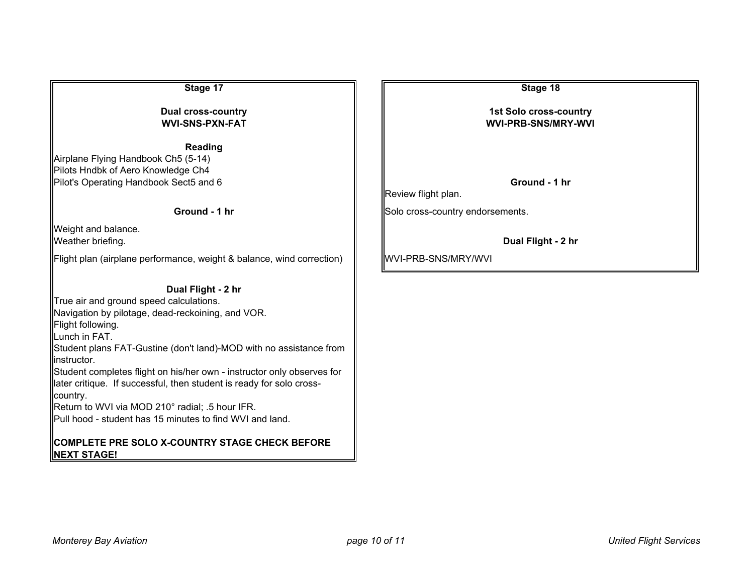**Readin g**

Airplane Flying Handbook Ch5 (5-14) Pilots Hndbk of Aero Knowledge Ch4 Pilot's Operating Handbook Sect5 and 6 **Ground - 1 hr**

## **Ground - 1 hr**

Weight and balance. **Weather briefing.** 

Flight plan (airplane performance, weight & balance, wind correction)  $\|$  WVI-PRB-SNS/MRY/WVI

### **Dual Fli ght - 2 hr**

True air and ground speed calculations. Navigation by pilotage, dead-reckoining, and VOR. Flight following. Lunch in FAT. Student plans FAT-Gustine (don't land)-MOD with no assistance from instructor.Student completes flight on his/her own - instructor only observes for later critique. If successful, then student is ready for solo crosscountry. Return to WVI via MOD 210° radial; .5 hour IFR. Pull hood - student has 15 minutes to find WVI and land.

## **COMPLETE PRE SOLO X-COUNTRY STAGE CHECK BEFORE NEXT STAGE!**

**Stage 17 Stage 18**

**Dual cross-country 1st Solo cross-country 1st Solo cross-country WVI-SNS-PXN-FAT WVI-PRB-SNS/MRY-WVI**

Review flight plan.

Solo cross-country endorsements.

**Dual Flight - 2 hr**